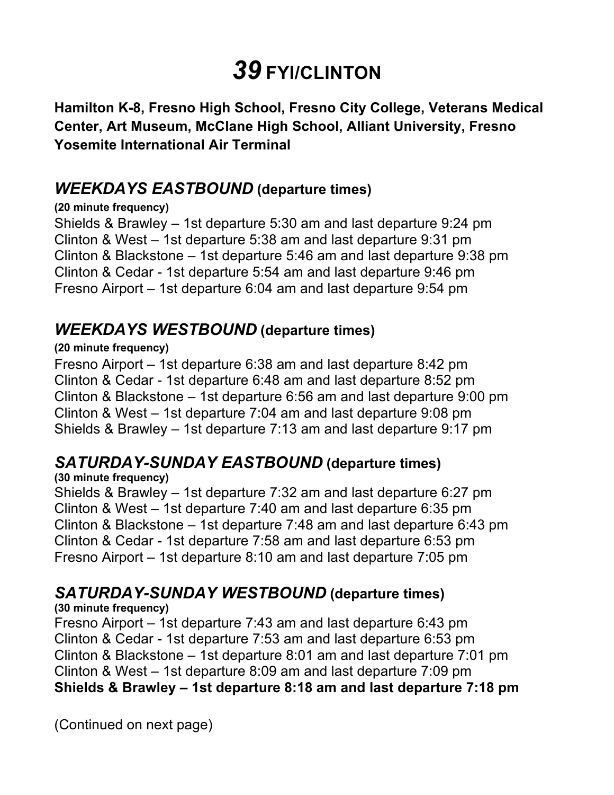# *39* **FYI/CLINTON**

 **Hamilton K-8, Fresno High School, Fresno City College, Veterans Medical Center, Art Museum, McClane High School, Alliant University, Fresno Yosemite International Air Terminal** 

## *WEEKDAYS EASTBOUND* **(departure times)**

#### **(20 minute frequency)**

 Shields & Brawley – 1st departure 5:30 am and last departure 9:24 pm Clinton & West – 1st departure 5:38 am and last departure 9:31 pm Clinton & Blackstone – 1st departure 5:46 am and last departure 9:38 pm Clinton & Cedar - 1st departure 5:54 am and last departure 9:46 pm Fresno Airport – 1st departure 6:04 am and last departure 9:54 pm

### *WEEKDAYS WESTBOUND* **(departure times)**

#### **(20 minute frequency)**

 Fresno Airport – 1st departure 6:38 am and last departure 8:42 pm Clinton & Cedar - 1st departure 6:48 am and last departure 8:52 pm Clinton & Blackstone – 1st departure 6:56 am and last departure 9:00 pm Clinton & West – 1st departure 7:04 am and last departure 9:08 pm Shields & Brawley – 1st departure 7:13 am and last departure 9:17 pm

## *SATURDAY-SUNDAY EASTBOUND* **(departure times)**

**(30 minute frequency)** 

 Shields & Brawley – 1st departure 7:32 am and last departure 6:27 pm Clinton & West – 1st departure 7:40 am and last departure 6:35 pm Clinton & Blackstone – 1st departure 7:48 am and last departure 6:43 pm Clinton & Cedar - 1st departure 7:58 am and last departure 6:53 pm Fresno Airport – 1st departure 8:10 am and last departure 7:05 pm

## *SATURDAY-SUNDAY WESTBOUND* **(departure times)**

**(30 minute frequency)** 

 Fresno Airport – 1st departure 7:43 am and last departure 6:43 pm Clinton & Cedar - 1st departure 7:53 am and last departure 6:53 pm Clinton & Blackstone – 1st departure 8:01 am and last departure 7:01 pm Clinton & West – 1st departure 8:09 am and last departure 7:09 pm  **Shields & Brawley – 1st departure 8:18 am and last departure 7:18 pm** 

(Continued on next page)